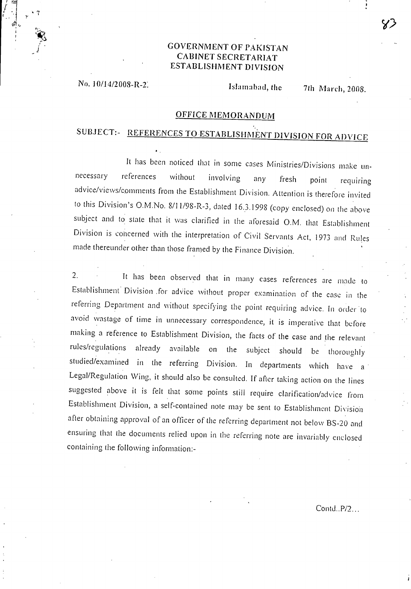# GOVERNMENT OF PAKISTAN CABINET SECRETARIAT ESTABLISHMENT DIVISION

No. 10/14/2 008-R-2. Islamabad, the 7th March, 2008.

•

111

• 7

### OFFICE MEMORANDUM

# SUBJECT:- REFERENCES TO ESTABLISHMENT DIVISION FOR ADVICE

It has been noticed that in some cases Ministries/Divisions make unnecessary references without involving any fresh point requiring advice/views/comments from the Establishment Division. Attention is therefore invited to this Division's 0.M.No. 8/1 1/98-R-3, dated 16.3.1998 (copy enclosed) on the above subject and to state that it was clarified in the aforesaid O.M. that Establishment Division is concerned with the interpretation of Civil Servants Act, 1973 and Rules made thereunder other than those framed by the Finance Division.

2. It has been observed that in many cases references are made to Establishment Division for advice without proper examination of the case in the referring Department and without specifying the point requiring advice. In order to avoid wastage of time in unnecessary correspondence, it is imperative that before making a reference to Establishment Division, the facts of the case and the relevant rules/regulations already available on the subject should be thoroughly studied/examined in the referring Division. In departments which have a Legal/Regulation Wing, it should also be consulted. If after taking action on the lines suggested above it is felt that some points still require clarification/advice from Establishment Division, a self-contained note may be sent to Establishment Division after obtaining approval of an officer of the referring department not below BS-20 and ensuring that the documents relied upon in the referring note are invariably enclosed containing the following information:-

Contd..P/2...

 $\mathcal{S}$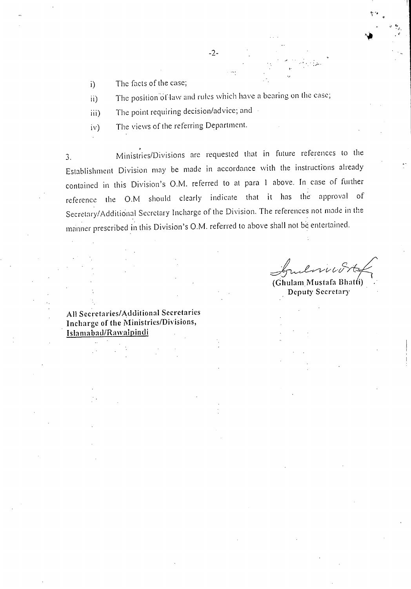The facts of the case;  $i)$ 

The position of law and rules which have a bearing on the case;  $\mathbf{ii}$ 

The point requiring decision/advice; and • iii)

The views of the referring Department.  $iv)$ 

3. Ministries/Divisions are requested that in future references to the Establishment Division may be made in accordance with the instructions already contained in this Division's O.M. referred to at para 1 above. In case of further reference the O.M should clearly indicate that it has the approval of Secretary/Additional Secretary Incharge of the Division. The references not made in the manner prescribed in this Division's O.M. referred to above shall not be entertained.

(Ghulam Mustafa Bhatti) Deputy Secretary

All Secretaries/Additional Secretaries Incharge of the Ministries/Divisions, Islamabad/Rawalpindi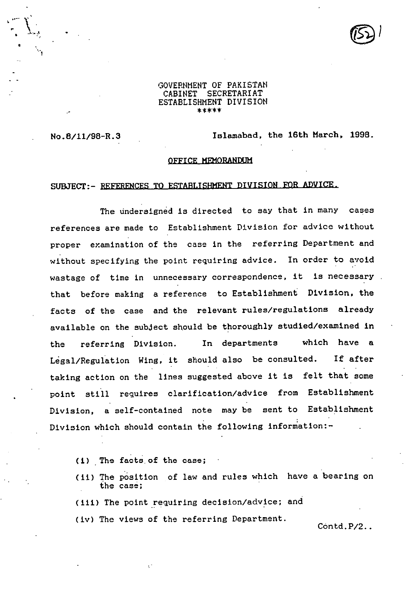#### GOVERNMENT OF PAKISTAN<br>CABINET SECRETARIAT SECRETARIAT ESTABLISHMENT DIVISION \*\*\*\*\*

No.8/11/98-R.3 Islamabad, the 16th March, 1998.

#### OFFICE MEMORANDUM

## SUBJECT-- REFERENCES TO ESTABLISHMENT DIVISION FOR ADVICE.

The undersigned is directed to say that in many cases references are made to Establishment Division for advice without proper examination of the case in the referring Department and without specifying the point requiring advice. In order to avoid wastage of time in unnecessary correspondence, it is necessary that before making a reference to Establishment Division, the facts of the case and the relevant rules/regulations already available on the subject should be thoroughly studied/examined in the referring Division. In departments which have a Legal/Regulation Wing, it should also be consulted. If after taking action on the lines suggested above it is felt that some point still requires clarification/advice from Establishment Division, a self-contained note may be sent to Establishment Division which should contain the following information:-

- (i) The facts.of the case;
- (ii) The position of law and rules which have a bearing on the case;
- (iii) The point requiring decision/advice; and
- (iv) The views of the referring Department.

Contd.P/2..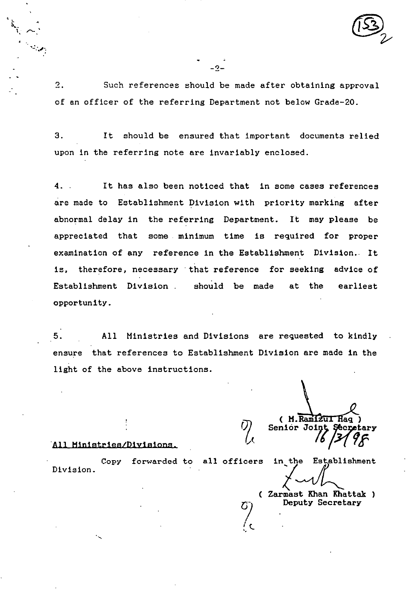$\overline{2}$ . Such references should be made after obtaining approval of an officer of the referring Department not below Grade-20.

3. It should be ensured that important documents relied upon in the referring note are invariably enclosed.

**.** It has also been noticed that in some cases references are made to Establishment Division with priority marking after abnormal delay in the referring Department. It may please be appreciated that some minimum time is required for proper examination of any reference in the Establishment Division.. It is, therefore, necessary that reference for seeking advice of Establishment Division . should be made at the earliest opportunity.

. 5. All Ministries and Divisions are requested to kindly ensure that references to Establishment Division are made in the light of the above instructions.

 $\sigma$  ,

**( H.RaIIZtLL Haq )**  Senior Joint Secretary **91 4** 

### **All Ministries/Divisions.**

Division. Copy forwarded to all officers in the Establishment

**Zarmast Khan Khattak )** 

**Deputy Secretary** 

 $-2-$